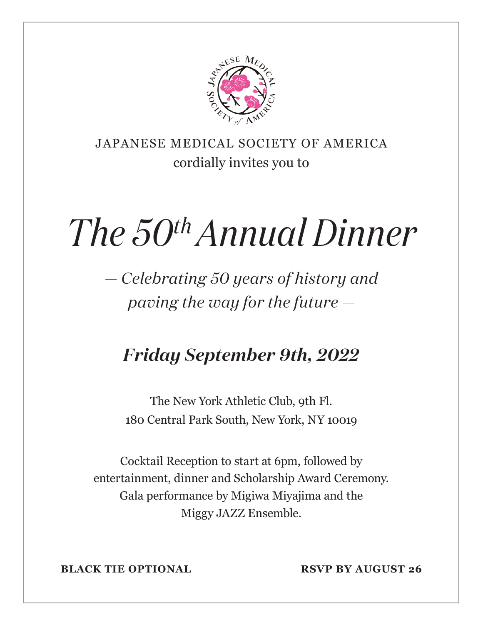

JAPANESE MEDICAL SOCIETY OF AMERICA cordially invites you to

# *The 50th Annual Dinner*

*— Celebrating 50 years of history and paving the way for the future —*

## *Friday September 9th, 2022*

The New York Athletic Club, 9th Fl. 180 Central Park South, New York, NY 10019

Cocktail Reception to start at 6pm, followed by entertainment, dinner and Scholarship Award Ceremony. Gala performance by Migiwa Miyajima and the Miggy JAZZ Ensemble.

**BLACK TIE OPTIONAL RSVP BY AUGUST 26**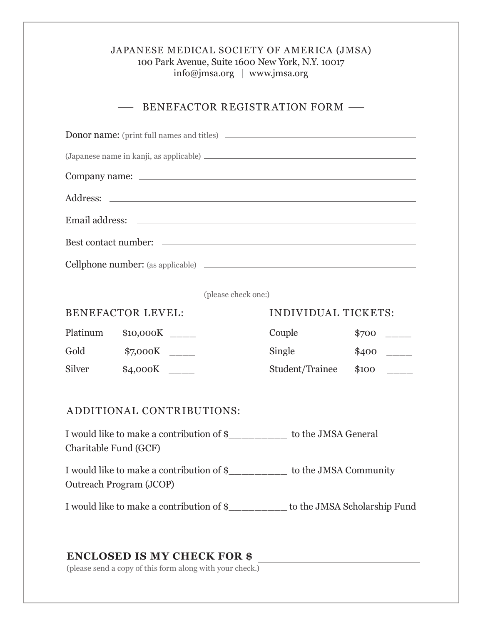### JAPANESE MEDICAL SOCIETY OF AMERICA (JMSA) 100 Park Avenue, Suite 1600 New York, N.Y. 10017 info@jmsa.org | www.jmsa.org

#### - BENEFACTOR REGISTRATION FORM -

| <b>Donor name:</b> (print full names and titles)                                                    |                |                            |            |
|-----------------------------------------------------------------------------------------------------|----------------|----------------------------|------------|
|                                                                                                     |                |                            |            |
|                                                                                                     |                |                            |            |
|                                                                                                     |                |                            |            |
|                                                                                                     |                |                            |            |
|                                                                                                     |                |                            |            |
| Cellphone number: (as applicable)                                                                   |                |                            |            |
|                                                                                                     |                |                            |            |
| (please check one:)                                                                                 |                |                            |            |
| <b>BENEFACTOR LEVEL:</b>                                                                            |                | <b>INDIVIDUAL TICKETS:</b> |            |
| Platinum                                                                                            | $$10,000K$ ___ | Couple                     | \$700      |
| Gold                                                                                                |                | Single                     | $$400$ ___ |
| Silver                                                                                              | \$4,000K       | Student/Trainee            | \$100      |
|                                                                                                     |                |                            |            |
| ADDITIONAL CONTRIBUTIONS:                                                                           |                |                            |            |
| I would like to make a contribution of \$_________ to the JMSA General<br>Charitable Fund (GCF)     |                |                            |            |
| I would like to make a contribution of \$_________ to the JMSA Community<br>Outreach Program (JCOP) |                |                            |            |
| I would like to make a contribution of \$_________ to the JMSA Scholarship Fund                     |                |                            |            |

#### **ENCLOSED IS MY CHECK FOR \$**

(please send a copy of this form along with your check.)